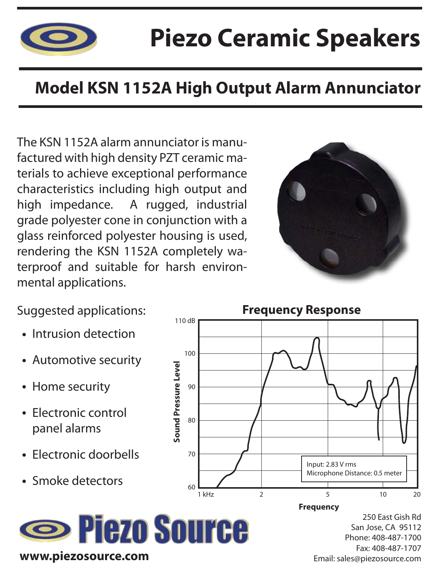

## **Piezo Ceramic Speakers**

### **Model KSN 1152A High Output Alarm Annunciator**

The KSN 1152A alarm annunciator is manufactured with high density PZT ceramic materials to achieve exceptional performance characteristics including high output and high impedance. A rugged, industrial grade polyester cone in conjunction with a glass reinforced polyester housing is used, rendering the KSN 1152A completely waterproof and suitable for harsh environmental applications.



**Frequency Response**

1 kHz 2 2 5 10 20

Input: 2.83 V rms

Microphone Distance: 0.5 meter

Suggested applications:

- Intrusion detection
- Automotive security
- Home security
- Electronic control panel alarms
- Electronic doorbells
- Smoke detectors



**Sound Pressure Level**

Sound Pressure Level

90

100

80

70

60

110 dB

250 East Gish Rd San Jose, CA 95112 Phone: 408-487-1700 Fax: 408-487-1707 Email: sales@piezosource.com **Frequency**